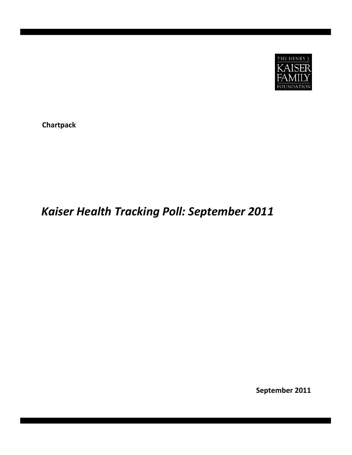

**Chartpack**

# *Kaiser Health Tracking Poll: September 2011*

**September 2011**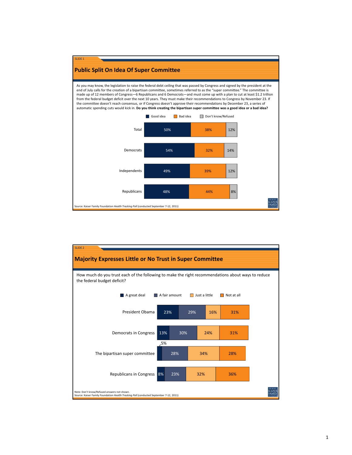

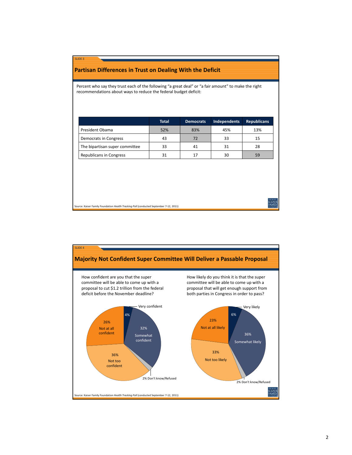## **Partisan Differences in Trust on Dealing With the Deficit**

SLIDE 3

Percent who say they trust each of the following "a great deal" or "a fair amount" to make the right recommendations about ways to reduce the federal budget deficit:

|                                | <b>Total</b> | <b>Democrats</b> | Independents | <b>Republicans</b> |
|--------------------------------|--------------|------------------|--------------|--------------------|
| President Obama                | 52%          | 83%              | 45%          | 13%                |
| Democrats in Congress          | 43           | 72               | 33           | 15                 |
| The bipartisan super committee | 33           | 41               | 31           | 28                 |
| <b>Republicans in Congress</b> | 31           | 17               | 30           | 59                 |

Source: Kaiser Family Foundation *Health Tracking Poll* (conducted September 7‐12, 2011)



KAISE<br>FAMIL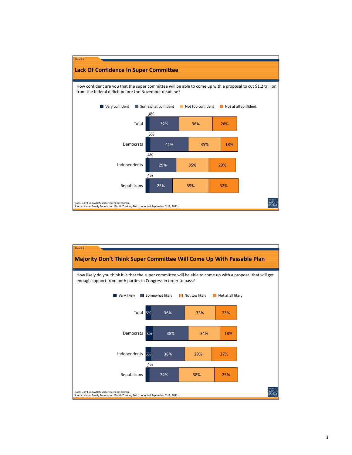

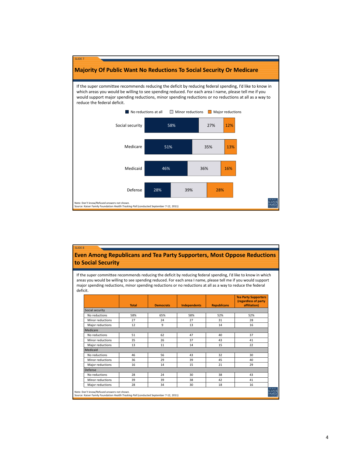

## **Even Among Republicans and Tea Party Supporters, Most Oppose Reductions to Social Security**

SLIDE 8

If the super committee recommends reducing the deficit by reducing federal spending, I'd like to know in which areas you would be willing to see spending reduced. For each area I name, please tell me if you would support major spending reductions, minor spending reductions or no reductions at all as a way to reduce the federal deficit.

|                  | <b>Total</b> | <b>Democrats</b> | <b>Independents</b> | <b>Republicans</b> | <b>Tea Party Supporters</b><br>(regardless of party<br>affiliation) |
|------------------|--------------|------------------|---------------------|--------------------|---------------------------------------------------------------------|
| Social security  |              |                  |                     |                    |                                                                     |
| No reductions    | 58%          | 65%              | 58%                 | 52%                | 52%                                                                 |
| Minor reductions | 27           | 24               | 27                  | 31                 | 28                                                                  |
| Major reductions | 12           | 9                | 13                  | 14                 | 16                                                                  |
| Medicare         |              |                  |                     |                    |                                                                     |
| No reductions    | 51           | 62               | 47                  | 40                 | 37                                                                  |
| Minor reductions | 35           | 26               | 37                  | 43                 | 41                                                                  |
| Major reductions | 13           | 11               | 14                  | 15                 | 22                                                                  |
| Medicaid         |              |                  |                     |                    |                                                                     |
| No reductions    | 46           | 56               | 43                  | 32                 | 30                                                                  |
| Minor reductions | 36           | 29               | 39                  | 45                 | 40                                                                  |
| Major reductions | 16           | 14               | 15                  | 21                 | 29                                                                  |
| Defense          |              |                  |                     |                    |                                                                     |
| No reductions    | 28           | 24               | 30                  | 38                 | 43                                                                  |
| Minor reductions | 39           | 39               | 38                  | 42                 | 41                                                                  |
| Major reductions | 28           | 34               | 30                  | 18                 | 16                                                                  |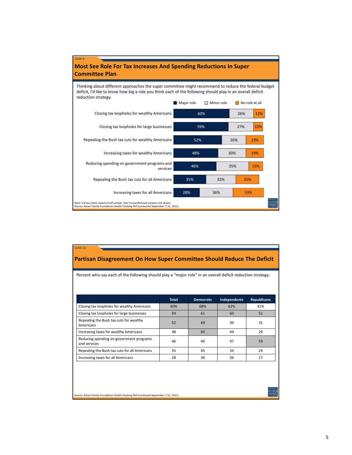

| Percent who say each of the following should play a "major role" in an overall deficit reduction strategy: |              |                  |              |                    |  |  |  |
|------------------------------------------------------------------------------------------------------------|--------------|------------------|--------------|--------------------|--|--|--|
|                                                                                                            | <b>Total</b> | <b>Democrats</b> | Independents | <b>Republicans</b> |  |  |  |
| Closing tax loopholes for wealthy Americans                                                                | 60%          | 68%              | 62%          | 41%                |  |  |  |
| Closing tax loopholes for large businesses                                                                 | 59           | 61               | 60           | 51                 |  |  |  |
| Repealing the Bush tax cuts for wealthy<br>Americans                                                       | 52           | 69               | 49           | 31                 |  |  |  |
| Increasing taxes for wealthy Americans                                                                     | 48           | 64               | 44           | 29                 |  |  |  |
| Reducing spending on government programs<br>and services                                                   | 46           | 40               | 47           | 59                 |  |  |  |
| Repealing the Bush tax cuts for all Americans                                                              | 35           | 45               | 33           | 24                 |  |  |  |
| Increasing taxes for all Americans                                                                         | 28           | 36               | 26           | 17                 |  |  |  |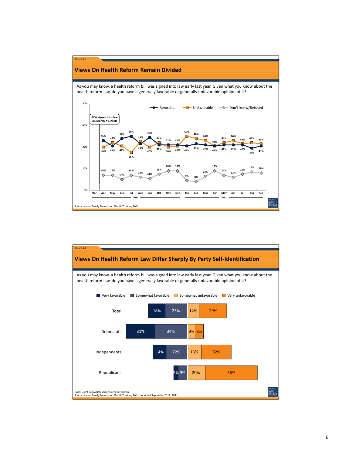

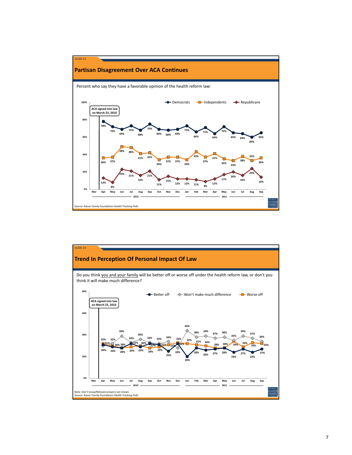

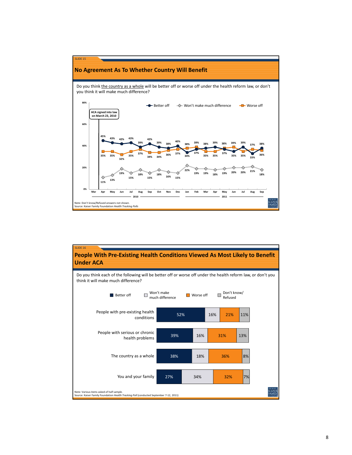

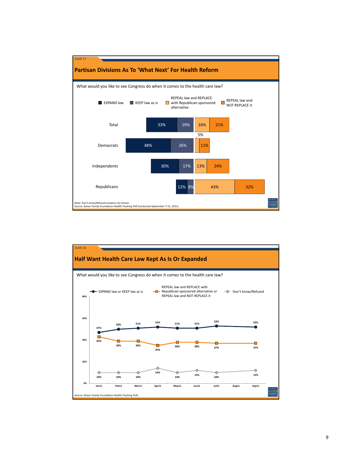

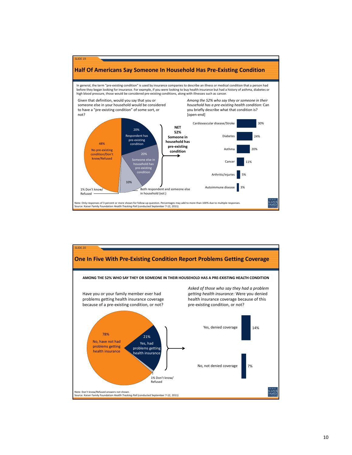

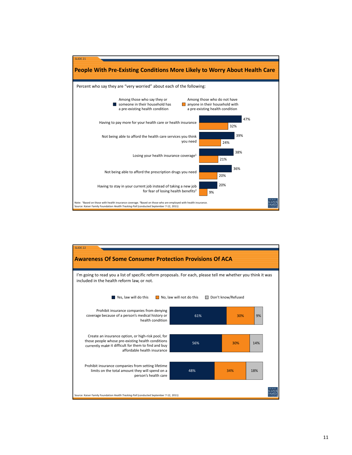

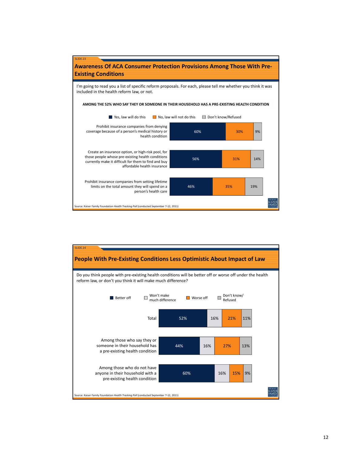

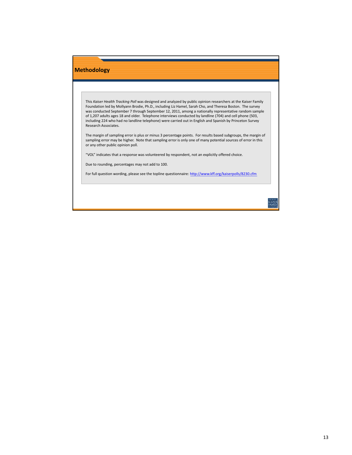